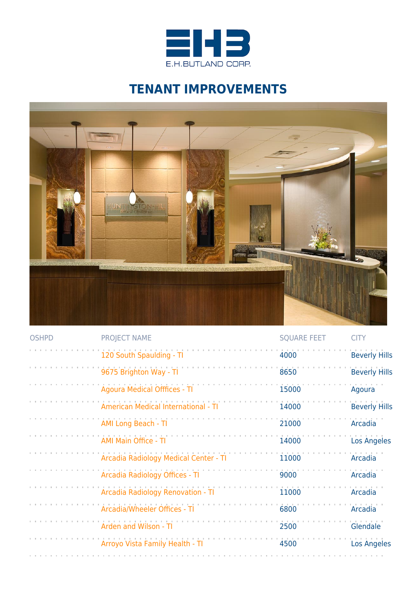

## **TENANT IMPROVEMENTS**



| <b>OSHPD</b> | <b>PROJECT NAME</b>                        | <b>SQUARE FEET</b> | <b>CITY</b>          |
|--------------|--------------------------------------------|--------------------|----------------------|
|              | 120 South Spaulding - TI                   | 4000               | <b>Beverly Hills</b> |
|              | 9675 Brighton Way - TI                     | 8650               | <b>Beverly Hills</b> |
|              | <b>Agoura Medical Offfices - TI</b>        | 15000              | Agoura               |
|              | <b>American Medical International - TI</b> | 14000              | <b>Beverly Hills</b> |
|              | <b>AMI Long Beach - TI</b>                 | 21000              | Arcadia              |
|              | <b>AMI Main Office - TI</b>                | 14000              | Los Angeles          |
|              | Arcadia Radiology Medical Center - TI      | 11000              | Arcadia              |
|              | Arcadia Radiology Offices - TI             | 9000               | Arcadia              |
|              | Arcadia Radiology Renovation - TI          | 11000              | Arcadia              |
|              | Arcadia/Wheeler Offices - Ti               | 6800               | Arcadia              |
|              | Arden and Wilson - TI                      | 2500               | Glendale             |
|              | Arroyo Vista Family Health - TI            | 4500               | Los Angeles          |
|              |                                            |                    |                      |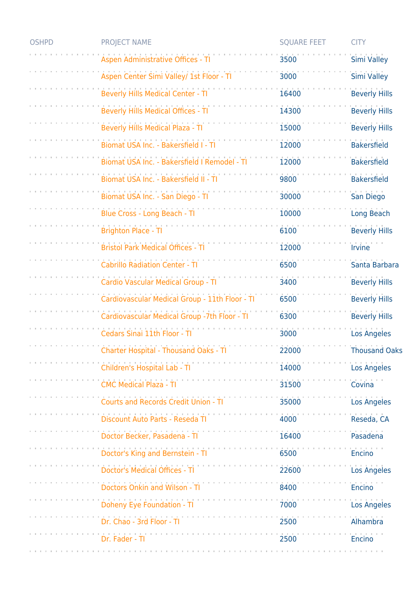| <b>OSHPD</b> | <b>PROJECT NAME</b>                                                                           | <b>SQUARE FEET</b> | <b>CITY</b>          |
|--------------|-----------------------------------------------------------------------------------------------|--------------------|----------------------|
|              | Aspen Administrative Offices - TI                                                             | 3500               | <b>Simi Valley</b>   |
|              | Aspen Center Simi Valley/ 1st Floor - Tl                                                      | 3000               | <b>Simi Valley</b>   |
|              | <b>Beverly Hills Medical Center - TI</b>                                                      | 16400              | <b>Beverly Hills</b> |
|              | Beverly Hills Medical Offices - TI                                                            | 14300              | <b>Beverly Hills</b> |
|              | Beverly Hills Medical Plaza - TI                                                              | 15000              | <b>Beverly Hills</b> |
|              | Biomat USA Inc. - Bakersfield I - TI                                                          | 12000              | <b>Bakersfield</b>   |
|              | Biomat USA Inc. - Bakersfield I Remodel - TI                                                  | 12000              | <b>Bakersfield</b>   |
|              | Biomat USA Inc. - Bakersfield II - TI                                                         | 9800               | Bakersfield          |
|              | Biomat USA Inc. - San Diego - TI                                                              | 30000              | San Diego            |
|              | Blue Cross - Long Beach - TI                                                                  | 10000              | Long Beach           |
|              | <b>Brighton Place - Tl</b>                                                                    | 6100               | <b>Beverly Hills</b> |
|              | <b>Bristol Park Medical Offices - T</b>                                                       | 12000              | Irvine               |
|              | <b>Cabrillo Radiation Center - TI</b>                                                         | 6500               | Santa Barbara        |
|              | Cardio Vascular Medical Group - TI                                                            | 3400               | <b>Beverly Hills</b> |
|              | Cardiovascular Medical Group - 11th Floor - TI                                                | 6500               | <b>Beverly Hills</b> |
|              | Cardiovascular Medical Group -7th Floor - TI                                                  | 6300               | <b>Beverly Hills</b> |
|              | Cedars Sinai 11th Floor - TI                                                                  | 3000               | <b>Los Angeles</b>   |
|              | Charter Hospital - Thousand Oaks - TI                                                         | 22000              | <b>Thousand Oaks</b> |
|              | Children's Hospital Lab - TI                                                                  | 14000              | <b>Los Angeles</b>   |
|              | the contract of the contract of the contract of the contract<br><b>CMC Medical Plaza - TI</b> | 31500              | Covina               |
|              | Courts and Records Credit Union - TI                                                          | 35000              | <b>Los Angeles</b>   |
|              | Discount Auto Parts - Reseda TI                                                               | 4000               | Reseda, CA           |
|              | Doctor Becker, Pasadena - TI                                                                  | 16400              | Pasadena             |
|              | Doctor's King and Bernstein - TI                                                              | 6500               | Encino               |
|              | <b>Doctor's Medical Offices - TI</b>                                                          | 22600              | <b>Los Angeles</b>   |
|              | <b>Doctors Onkin and Wilson - Ti</b>                                                          | 8400               | Encino               |
|              | Doheny Eye Foundation - Ti                                                                    | 7000               | <b>Los Angeles</b>   |
|              | Dr. Chao - 3rd Floor - Ti                                                                     | 2500               | Alhambra             |
|              | Dr. Fader - TI                                                                                | 2500               | <b>Encino</b>        |
|              |                                                                                               |                    |                      |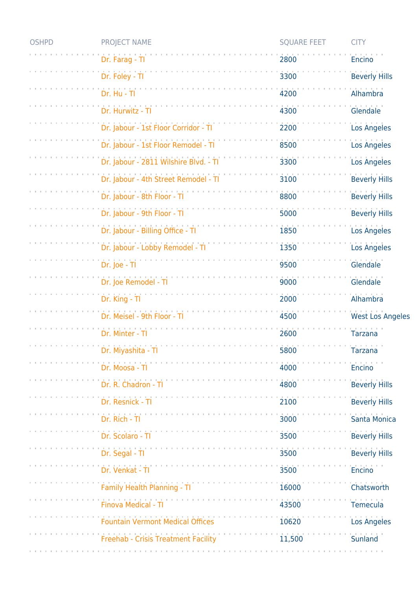| <b>OSHPD</b> | <b>PROJECT NAME</b>                     | <b>SQUARE FEET</b> | <b>CITY</b>             |
|--------------|-----------------------------------------|--------------------|-------------------------|
|              | Dr. Farag - Tl                          | 2800               | Encino                  |
|              | Dr. Foley - TI                          | 3300               | <b>Beverly Hills</b>    |
|              | Dr. Hu - TI                             | 4200               | Alhambra                |
|              | Dr. Hurwitz - TI                        | 4300               | Glendale                |
|              | Dr. Jabour - 1st Floor Corridor - TI    | 2200               | Los Angeles             |
|              | Dr. Jabour - 1st Floor Remodel - TI     | 8500               | <b>Los Angeles</b>      |
|              | Dr. Jabour - 2811 Wilshire Blvd. - TI   | 3300               | Los Angeles             |
|              | Dr. Jabour - 4th Street Remodel - Tl    | 3100               | <b>Beverly Hills</b>    |
|              | Dr. Jabour - 8th Floor - Tl             | 8800               | <b>Beverly Hills</b>    |
|              | Dr. Jabour - 9th Floor - Tl             | 5000               | <b>Beverly Hills</b>    |
|              | Dr. Jabour - Billing Office - TI        | 1850               | Los Angeles             |
|              | Dr. Jabour - Lobby Remodel - TI         | 1350               | Los Angeles             |
|              | Dr. Joe - Tl                            | 9500               | Glendale                |
|              | Dr. Joe Remodel - TI                    | 9000               | Glendale                |
|              | Dr. King - Tl                           | 2000               | Alhambra                |
|              | Dr. Meisel - 9th Floor - Tl             | 4500               | <b>West Los Angeles</b> |
|              | Dr. Minter - TI                         | 2600               | <b>Tarzana</b>          |
|              | Dr. Miyashita - Tl                      | 5800               | <b>Tarzana</b>          |
|              | Dr. Moosa - Tl                          | 4000               | <b>Encino</b>           |
|              | Dr. R. Chadron -                        | 4800               | <b>Beverly Hills</b>    |
|              | Dr. Resnick - T                         | 2100               | <b>Beverly Hills</b>    |
|              | Dr. Rich - TI                           | 3000               | Santa Monica            |
|              | Dr. Scolaro - Tl                        | 3500               | <b>Beverly Hills</b>    |
|              | Dr. Segal - TI                          | 3500               | <b>Beverly Hills</b>    |
|              | Dr. Venkat - TI                         | 3500               | <b>Encino</b>           |
|              | Family Health Planning - TI             | 16000              | Chatsworth              |
|              | <b>Finova Medical - TI</b>              | 43500              | <b>Temecula</b>         |
|              | <b>Fountain Vermont Medical Offices</b> | 10620              | <b>Los Angeles</b>      |
|              | Freehab - Crisis Treatment Facility     | 11,500             | Sunland                 |
|              |                                         |                    |                         |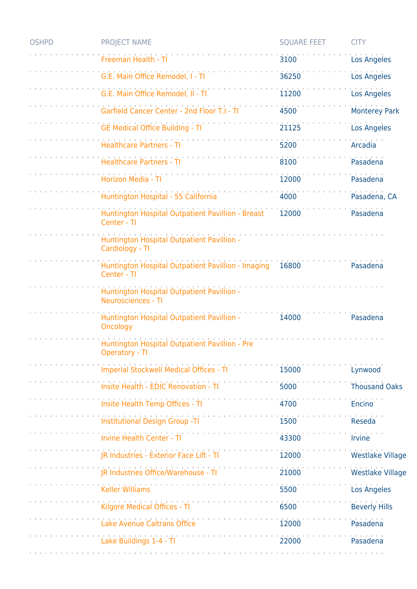| <b>OSHPD</b> | <b>PROJECT NAME</b>                                                     | <b>SQUARE FEET</b> | <b>CITY</b>             |
|--------------|-------------------------------------------------------------------------|--------------------|-------------------------|
|              | Freeman Health - T                                                      | 3100               | <b>Los Angeles</b>      |
|              | G.E. Main Office Remodel, I - TI                                        | 36250              | Los Angeles             |
|              | G.E. Main Office Remodel, II - TI                                       | 11200              | <b>Los Angeles</b>      |
|              | Garfield Cancer Center - 2nd Floor T.I - T                              | 4500               | <b>Monterey Park</b>    |
|              | <b>GE Medical Office Building - TI</b>                                  | 21125              | <b>Los Angeles</b>      |
|              | Healthcare Partners - TI                                                | 5200               | Arcadia                 |
|              | <b>Healthcare Partners - TI</b>                                         | 8100               | Pasadena                |
|              | Horizon Media - TI                                                      | 12000              | Pasadena                |
|              | Huntington Hospital - 55 California                                     | 4000               | Pasadena, CA            |
|              | Huntington Hospital Outpatient Pavillion - Breast<br>Center - TI        | 12000              | Pasadena                |
|              | Huntington Hospital Outpatient Pavillion -<br>Cardiology - TI           |                    |                         |
|              | Huntington Hospital Outpatient Pavillion - Imaging<br>Center - TI       | 16800              | Pasadena                |
|              | Huntington Hospital Outpatient Pavillion -<br><b>Neurosciences - TI</b> |                    |                         |
|              | Huntington Hospital Outpatient Pavillion -<br>Oncology                  | 14000              | Pasadena                |
|              | Huntington Hospital Outpatient Pavillion - Pre<br>Operatory - TI        |                    |                         |
|              | Imperial Stockwell Medical Offices - TI                                 | 15000              | Lynwood                 |
|              | Insite Health - EDIC Renovation - TI                                    | 5000               | <b>Thousand Oaks</b>    |
|              | Insite Health Temp Offices - TI                                         | 4700               | Encino                  |
|              | Institutional Design Group -TI                                          | 1500               | <b>Reseda</b>           |
|              | <b>Irvine Health Center - TI</b>                                        | 43300              | <b>Irvine</b>           |
|              | JR Industries - Exterior Face Lift - TI                                 | 12000              | <b>Westlake Village</b> |
|              | JR Industries Office/Warehouse - TI                                     | 21000              | <b>Westlake Village</b> |
|              | <b>Keller Williams</b>                                                  | 5500               | <b>Los Angeles</b>      |
|              | Kilgore Medical Offices - TI                                            | 6500               | <b>Beverly Hills</b>    |
|              | Lake Avenue Caltrans Office                                             | 12000              | Pasadena                |
|              | Lake Buildings 1-4 - TI                                                 | 22000              | Pasadena                |
|              |                                                                         |                    |                         |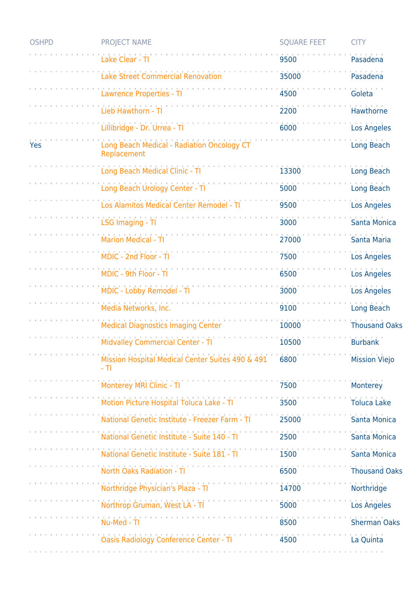| <b>OSHPD</b> | <b>PROJECT NAME</b>                                           | <b>SQUARE FEET</b> | <b>CITY</b>          |
|--------------|---------------------------------------------------------------|--------------------|----------------------|
|              | Lake Clear - Tl                                               | 9500               | Pasadena             |
|              | <b>Lake Street Commercial Renovation</b>                      | 35000              | Pasadena             |
|              | <b>Lawrence Properties - Tl</b>                               | 4500               | Goleta               |
|              | Lieb Hawthorn - T                                             | 2200               | Hawthorne            |
|              | Lillibridge - Dr. Urrea - Tl                                  | 6000               | <b>Los Angeles</b>   |
| Yes          | Long Beach Medical - Radiation Oncology CT<br>Replacement     |                    | Long Beach           |
|              | Long Beach Medical Clinic - TI                                | 13300              | Long Beach           |
|              | Long Beach Urology Center - TI                                | 5000               | Long Beach           |
|              | Los Alamitos Medical Center Remodel - T                       | 9500               | <b>Los Angeles</b>   |
|              | <b>LSG Imaging - TI</b>                                       | 3000               | <b>Santa Monica</b>  |
|              | Marion Medical - TI                                           | 27000              | Santa Maria          |
|              | MDIC - 2nd Floor - TI                                         | 7500               | <b>Los Angeles</b>   |
|              | MDIC - 9th Floor - TI                                         | 6500               | <b>Los Angeles</b>   |
|              | MDIC - Lobby Remodel - TI                                     | 3000               | Los Angeles          |
|              | Media Networks, Inc.                                          | 9100               | Long Beach           |
|              | <b>Medical Diagnostics Imaging Center</b>                     | 10000              | <b>Thousand Oaks</b> |
|              | <b>Midvalley Commercial Center - TI</b>                       | 10500              | <b>Burbank</b>       |
|              | Mission Hospital Medical Center Suites 490 & 491 6800<br>- TI |                    | Mission Viejo        |
|              | Monterey MRI Clinic - TI                                      | 7500               | Monterey             |
|              | Motion Picture Hospital Toluca Lake - TI                      | 3500               | <b>Toluca Lake</b>   |
|              | National Genetic Institute - Freezer Farm - TI                | 25000              | Santa Monica         |
|              | National Genetic Institute - Suite 140 - TI                   | 2500               | Santa Monica         |
|              | National Genetic Institute - Suite 181 - TI                   | 1500               | Santa Monica         |
|              | <b>North Oaks Radiation - TI</b>                              | 6500               | <b>Thousand Oaks</b> |
|              | Northridge Physician's Plaza - Tl                             | 14700              | Northridge           |
|              | Northrop Gruman, West LA - TI                                 | 5000               | Los Angeles          |
|              | Nu-Med - TI                                                   | 8500               | <b>Sherman Oaks</b>  |
|              | Oasis Radiology Conference Center - TI                        | 4500               | La Quinta            |
|              |                                                               |                    |                      |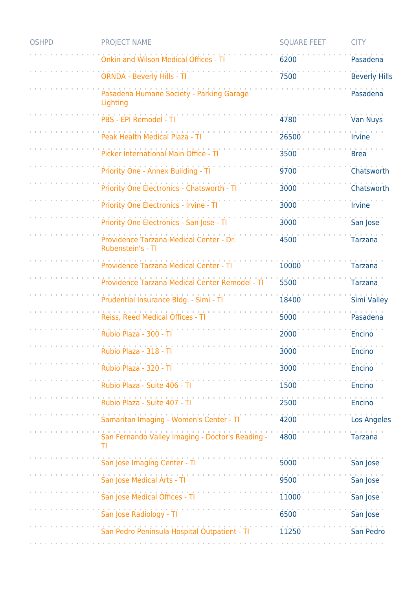| <b>OSHPD</b> | <b>PROJECT NAME</b>                                          | <b>SQUARE FEET</b> | <b>CITY</b>                 |
|--------------|--------------------------------------------------------------|--------------------|-----------------------------|
|              | nkin and Wilson Medical Offices -                            | 6200               | Pasadena                    |
|              | <b>ORNDA - Beverly Hills - TI</b>                            | 7500               | <b>Beverly Hills</b>        |
|              | Pasadena Humane Society - Parking Garage<br>Lighting         |                    | Pasadena                    |
|              | PBS - EPI Remodel - TI                                       | 4780               | <b>Van Nuys</b>             |
|              | Peak Health Medical Plaza - TI                               | 26500              | <i><u><b>Irvine</b></u></i> |
|              | Picker International Main Office - TI                        | 3500               | <b>Brea</b>                 |
|              | Priority One - Annex Building - TI                           | 9700               | Chatsworth                  |
|              | Priority One Electronics - Chatsworth - TI                   | 3000               | Chatsworth                  |
|              | Priority One Electronics - Irvine - TI                       | 3000               | Irvine                      |
|              | Priority One Electronics - San Jose - TI                     | 3000               | San Jose                    |
|              | Providence Tarzana Medical Center - Dr.<br>Rubenstein's - TI | 4500               | <b>Tarzana</b>              |
|              | Providence Tarzana Medical Center - TI                       | 10000              | <b>Tarzana</b>              |
|              | Providence Tarzana Medical Center Remodel - TI               | 5500               | <b>Tarzana</b>              |
|              | Prudential Insurance Bldg. - Simi - TI                       | 18400              | <b>Simi Valley</b>          |
|              | Reiss, Reed Medical Offices - TI                             | 5000               | Pasadena                    |
|              | Rubio Plaza - 300 - Tl                                       | 2000               | Encino                      |
|              | Rubio Plaza - 318 - Tl                                       | 3000               | Encino                      |
|              | Rubio Plaza - 320 - Tl                                       | 3000               | Encino                      |
|              | Rubio Plaza - Suite 406 - Tl                                 | 1500               | Encino                      |
|              | Rubio Plaza - Suite 407 - Tl                                 | 2500               | Encino                      |
|              | Samaritan Imaging - Women's Center - TI                      | 4200               | Los Angeles                 |
|              | San Fernando Valley Imaging - Doctor's Reading -<br>TI       | 4800               | Tarzana                     |
|              | San Jose Imaging Center - TI                                 | 5000               | San Jose                    |
|              | San Jose Medical Arts - TI                                   | 9500               | San Jose                    |
|              | San Jose Medical Offices - TI                                | 11000              | San Jose                    |
|              | San Jose Radiology - TI                                      | 6500               | San Jose                    |
|              | San Pedro Peninsula Hospital Outpatient - TI                 | 11250              | San Pedro                   |
|              |                                                              |                    |                             |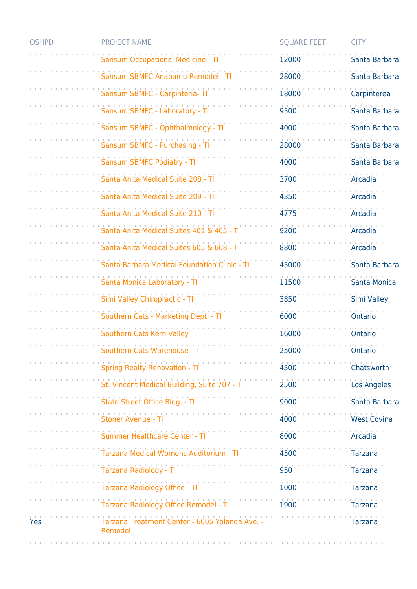| <b>OSHPD</b> | <b>PROJECT NAME</b>                                                                             | <b>SQUARE FEET</b>                                  | <b>CITY</b>        |
|--------------|-------------------------------------------------------------------------------------------------|-----------------------------------------------------|--------------------|
|              | <b>Sansum Occupational Medicine - TI</b>                                                        | 12000                                               | Santa Barbara      |
|              | Sansum SBMFC Anapamu Remodel - TI                                                               | 28000                                               | Santa Barbara      |
|              | Sansum SBMFC - Carpinteria- TI                                                                  | 18000                                               | Carpinterea        |
|              | Sansum SBMFC - Laboratory - TI                                                                  | 9500                                                | Santa Barbara      |
|              | Sansum SBMFC - Ophthalmology - TI                                                               | 4000                                                | Santa Barbara      |
|              | Sansum SBMFC - Purchasing - TI                                                                  | 28000                                               | Santa Barbara      |
|              | Sansum SBMFC Podiatry - TI                                                                      | 4000                                                | Santa Barbara      |
|              | Santa Anita Medical Suite 208 - TI                                                              | 3700                                                | Arcadia            |
|              | Santa Anita Medical Suite 209 - TI                                                              | 4350                                                | <b>Arcadia</b>     |
|              | Santa Anita Medical Suite 210 - TI                                                              | 4775                                                | Arcadia            |
|              | Santa Anita Medical Suites 401 & 405 - TI                                                       | 9200                                                | Arcadia            |
|              | Santa Anita Medical Suites 605 & 608 - TI                                                       | 8800                                                | <b>Arcadia</b>     |
|              | Santa Barbara Medical Foundation Clinic - TI                                                    | 45000                                               | Santa Barbara      |
|              | Santa Monica Laboratory - TI                                                                    | 11500                                               | Santa Monica       |
|              | Simi Valley Chiropractic - TI                                                                   | 3850                                                | <b>Simi Valley</b> |
|              | Southern Cats - Marketing Dept. - TI                                                            | 6000                                                | Ontario            |
|              | Southern Cats Kern Valley                                                                       | 16000                                               | Ontario            |
|              | Southern Cats Warehouse - TI                                                                    | 25000                                               | Ontario            |
|              | Spring Realty Renovation - TI                                                                   | 4500                                                | Chatsworth         |
|              | St. Vincent Medical Building, Suite 707 - Ti                                                    | 2500                                                | Los Angeles        |
|              | State Street Office Bldg. - Ti                                                                  | 9000                                                | Santa Barbara      |
|              | and the contract of the contract of the contract of the contract of<br><b>Stoner Avenue - T</b> | 4000                                                | <b>West Covina</b> |
|              | Summer Healthcare Center - TI                                                                   | 8000                                                | Arcadia            |
|              | .<br>Tarzana Medical Womens Auditorium - TI                                                     | 4500                                                | Tarzana            |
|              | Tarzana Radiology - TI                                                                          | 950                                                 | <b>Tarzana</b>     |
|              | Tarzana Radiology Office - TI                                                                   | 1000                                                | <b>Tarzana</b>     |
|              | $-71$ $1900$<br>Tarzana Radiology Office Remodel - TI                                           |                                                     | Tarzana            |
| Yes          | Tarzana Treatment Center - 6005 Yolanda Ave. -<br>Remodel                                       | and the contract of the contract of the contract of | <b>Tarzana</b>     |
|              |                                                                                                 |                                                     |                    |